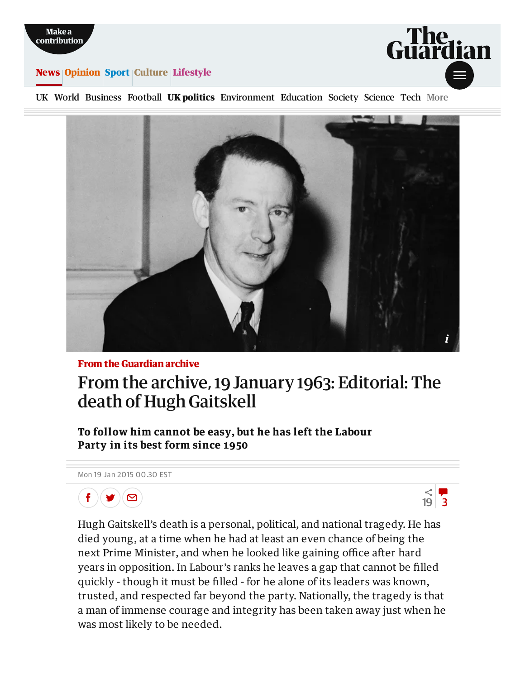

19 [3](#page-4-0)

## <span id="page-0-0"></span>**[News](https://www.theguardian.com/us) [Opinion](https://www.theguardian.com/us/commentisfree) [Sport](https://www.theguardian.com/us/sport) [Culture](https://www.theguardian.com/us/culture) [Lifestyle](https://www.theguardian.com/us/lifeandstyle)**

UK World Business Football **UK politics** [Environment](https://www.theguardian.com/uk-news) [Education](https://www.theguardian.com/education) Society [Science](https://www.theguardian.com/society) Tech [More](https://www.theguardian.com/us/technology)



## **From the [Guardian](https://www.theguardian.com/theguardian/series/from-the-archive) archive**

# From the archive, 19 January 1963: Editorial: The death of Hugh Gaitskell

**To follow him cannot be easy, but he has left the Labour Party in its best form since 1950**

#### Mon 19 Jan 2015 00.30 EST



Hugh Gaitskell's death is a personal, political, and national tragedy. He has died young, at a time when he had at least an even chance of being the next Prime Minister, and when he looked like gaining office after hard years in opposition. In Labour's ranks he leaves a gap that cannot be filled quickly - though it must be filled - for he alone of its leaders was known, trusted, and respected far beyond the party. Nationally, the tragedy is that a man of immense courage and integrity has been taken away just when he was most likely to be needed.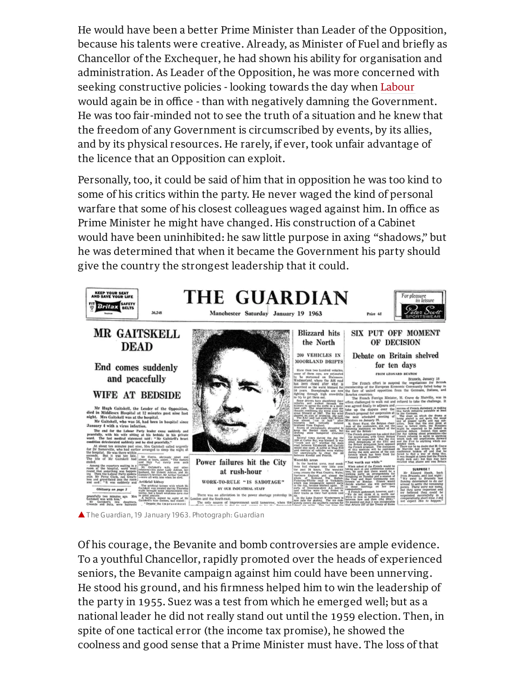He would have been a better Prime Minister than Leader of the Opposition, because his talents were creative. Already, as Minister of Fuel and briefly as Chancellor of the Exchequer, he had shown his ability for organisation and administration. As Leader of the Opposition, he was more concerned with seeking constructive policies - looking towards the day when [Labour](https://www.theguardian.com/politics/labour) would again be in office - than with negatively damning the Government. He was too fair-minded not to see the truth of a situation and he knew that the freedom of any Government is circumscribed by events, by its allies, and by its physical resources. He rarely, if ever, took unfair advantage of the licence that an Opposition can exploit.

Personally, too, it could be said of him that in opposition he was too kind to some of his critics within the party. He never waged the kind of personal warfare that some of his closest colleagues waged against him. In office as Prime Minister he might have changed. His construction of a Cabinet would have been uninhibited: he saw little purpose in axing "shadows," but he was determined that when it became the Government his party should give the country the strongest leadership that it could.



Of his courage, the Bevanite and bomb controversies are ample evidence. To a youthful Chancellor, rapidly promoted over the heads of experienced seniors, the Bevanite campaign against him could have been unnerving. He stood his ground, and his firmness helped him to win the leadership of the party in 1955. Suez was a test from which he emerged well; but as a national leader he did not really stand out until the 1959 election. Then, in spite of one tactical error (the income tax promise), he showed the coolness and good sense that a Prime Minister must have. The loss of that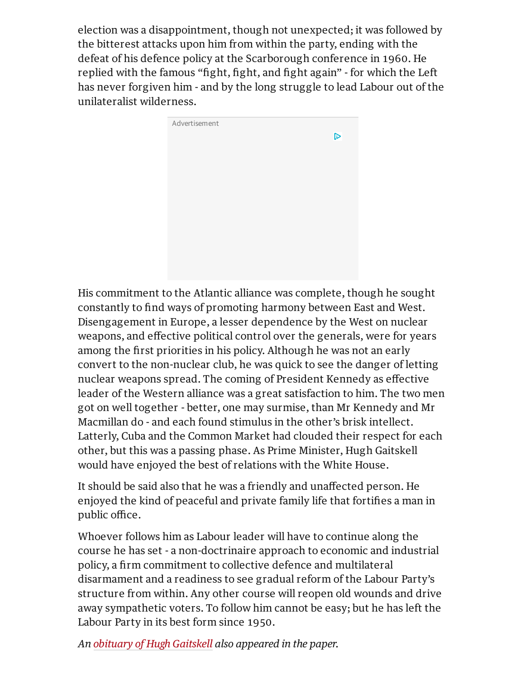election was a disappointment, though not unexpected; it was followed by the bitterest attacks upon him from within the party, ending with the defeat of his defence policy at the Scarborough conference in 1960. He replied with the famous "fight, fight, and fight again" - for which the Left has never forgiven him - and by the long struggle to lead Labour out of the unilateralist wilderness.



His commitment to the Atlantic alliance was complete, though he sought constantly to find ways of promoting harmony between East and West. Disengagement in Europe, a lesser dependence by the West on nuclear weapons, and effective political control over the generals, were for years among the first priorities in his policy. Although he was not an early convert to the non-nuclear club, he was quick to see the danger of letting nuclear weapons spread. The coming of President Kennedy as effective leader of the Western alliance was a great satisfaction to him. The two men got on well together - better, one may surmise, than Mr Kennedy and Mr Macmillan do - and each found stimulus in the other's brisk intellect. Latterly, Cuba and the Common Market had clouded their respect for each other, but this was a passing phase. As Prime Minister, Hugh Gaitskell would have enjoyed the best of relations with the White House.

It should be said also that he was a friendly and unaffected person. He enjoyed the kind of peaceful and private family life that fortifies a man in public office.

Whoever follows him as Labour leader will have to continue along the course he has set - a non-doctrinaire approach to economic and industrial policy, a firm commitment to collective defence and multilateral disarmament and a readiness to see gradual reform of the Labour Party's structure from within. Any other course will reopen old wounds and drive away sympathetic voters. To follow him cannot be easy; but he has left the Labour Party in its best form since 1950.

An obituary of Hugh [Gaitskell](http://static.guim.co.uk/sys-images/Guardian/Pix/pictures/2015/1/12/1421079153511/Obituary-of-Hugh-Gaitskel-002.jpg) also appeared in the paper.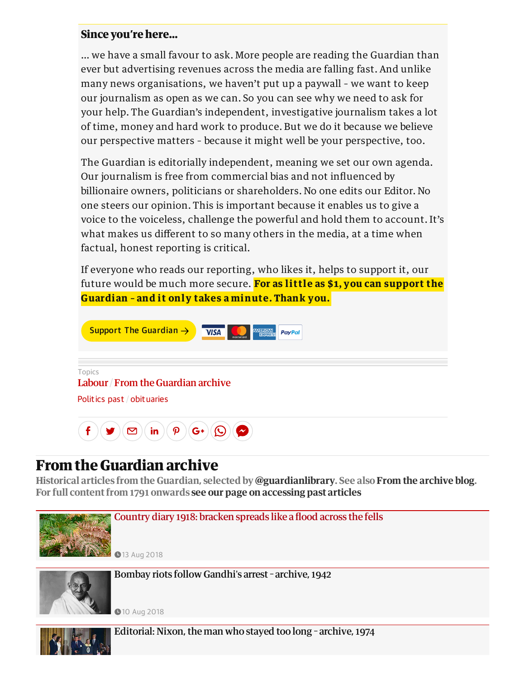## **Since you're here…**

… we have a small favour to ask. More people are reading the Guardian than ever but advertising revenues across the media are falling fast. And unlike many news organisations, we haven't put up a paywall – we want to keep our journalism as open as we can. So you can see why we need to ask for your help. The Guardian's independent, investigative journalism takes a lot of time, money and hard work to produce. But we do it because we believe our perspective matters – because it might well be your perspective, too.

The Guardian is editorially independent, meaning we set our own agenda. Our journalism is free from commercial bias and not influenced by billionaire owners, politicians or shareholders. No one edits our Editor. No one steers our opinion. This is important because it enables us to give a voice to the voiceless, challenge the powerful and hold them to account. It's what makes us different to so many others in the media, at a time when factual, honest reporting is critical.

If everyone who reads our reporting, who likes it, helps to support it, our future would be much more secure. **For as li ttle as \$1, you can support the Guardian – and i t only takes a minute. Thank you.**

|        | Support The Guardian $\rightarrow$   | <b>VISA</b> | <b>AMERICAN</b><br>ECPRESS  |  |  |
|--------|--------------------------------------|-------------|-----------------------------|--|--|
| Topics | Labour / From the Guardian archive   |             |                             |  |  |
|        | Politics past / obituaries           |             | <b>PayPal</b><br>mastercard |  |  |
|        | in<br>$\boldsymbol{\mathsf{p}}$<br>罓 | $G+$        |                             |  |  |

# **Fromthe [Guardian](https://www.theguardian.com/theguardian/series/from-the-archive) archive**

**Historical articles from the Guardian, selected by [guardianlibrary.](https://twitter.com/guardianlibrary) See also From the [archive](http://www.theguardian.com/theguardian/from-the-archive-blog) blog. For full content from 1791 onwards see our page on [accessing](https://www.theguardian.com/info/2017/jun/26/how-to-access-guardian-and-observer-digital-archive) past articles**



Bombay riots follow [Gandhi's](https://www.theguardian.com/world/2018/aug/10/bombay-riots-follow-gandhi-arrest-archive-1942) arrest - archive, 1942

**10 Aug 2018** 



[Editorial:](https://www.theguardian.com/us-news/2018/aug/09/editorial-nixon-the-man-who-stayed-too-long-archive-1974) Nixon, the man who stayed too long - archive, 1974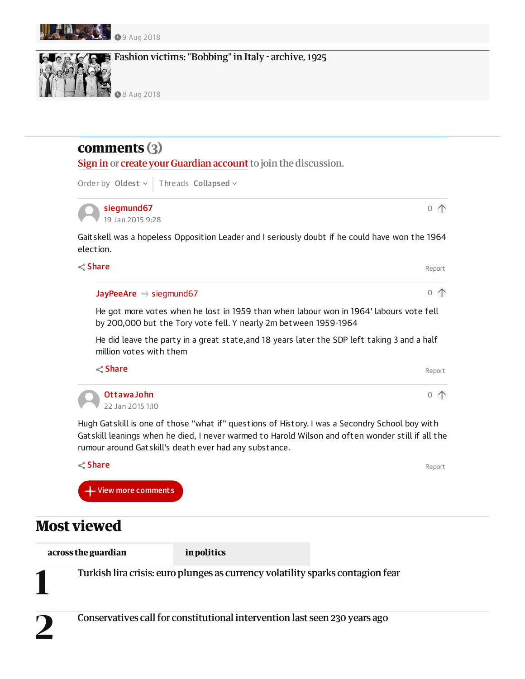

**9** Aug 2018

# Fashion victims: ["Bobbing"](https://www.theguardian.com/fashion/2018/aug/08/fashion-victims-bobbing-in-italy-archive-1925) in Italy archive, 1925 8 Aug 2018

<span id="page-4-1"></span><span id="page-4-0"></span>



<span id="page-4-2"></span>Conservatives call for [constitutional](https://www.theguardian.com/us-news/2018/aug/11/conservatives-call-for-constitutional-convention-alec) intervention last seen 230 years ago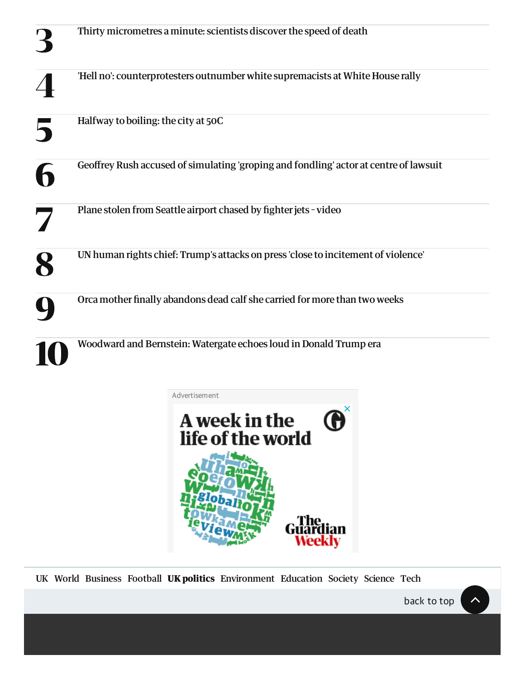|    | Thirty micrometres a minute: scientists discover the speed of death                   |  |  |  |  |
|----|---------------------------------------------------------------------------------------|--|--|--|--|
|    | 'Hell no': counterprotesters outnumber white supremacists at White House rally        |  |  |  |  |
| 5  | Halfway to boiling: the city at 50C                                                   |  |  |  |  |
| 6  | Geoffrey Rush accused of simulating 'groping and fondling' actor at centre of lawsuit |  |  |  |  |
|    | Plane stolen from Seattle airport chased by fighter jets - video                      |  |  |  |  |
| 8  | UN human rights chief: Trump's attacks on press 'close to incitement of violence'     |  |  |  |  |
|    | Orca mother finally abandons dead calf she carried for more than two weeks            |  |  |  |  |
| 10 | Woodward and Bernstein: Watergate echoes loud in Donald Trump era                     |  |  |  |  |
|    | Advertisement                                                                         |  |  |  |  |
|    | A week in the<br>life of the world                                                    |  |  |  |  |

The<br>Guardian<br>Weekly

UK World Business Football **UK politics** [Environment](https://www.theguardian.com/uk-news) [Education](https://www.theguardian.com/education) Society [Science](https://www.theguardian.com/society) [Tech](https://www.theguardian.com/us/technology)

[back](#page-0-0) to top

 $\curvearrowright$